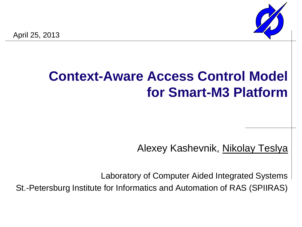

# **Context-Aware Access Control Model for Smart-M3 Platform**

Alexey Kashevnik, Nikolay Teslya

Laboratory of Computer Aided Integrated Systems

St.-Petersburg Institute for Informatics and Automation of RAS (SPIIRAS)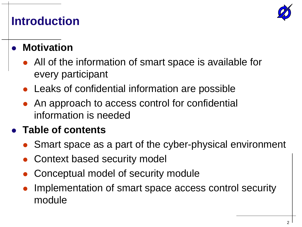

#### **Introduction**

#### **Motivation**

- All of the information of smart space is available for every participant
- Leaks of confidential information are possible
- An approach to access control for confidential information is needed

#### **Table of contents**

- Smart space as a part of the cyber-physical environment
- Context based security model
- Conceptual model of security module
- Implementation of smart space access control security module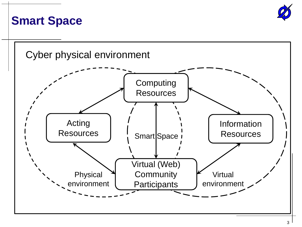

#### **Smart Space**

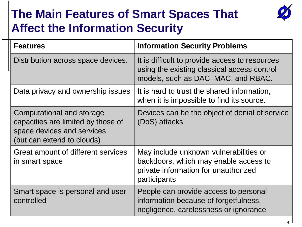## **The Main Features of Smart Spaces That Affect the Information Security**



| <b>Features</b>                                                                                                             | <b>Information Security Problems</b>                                                                                                    |
|-----------------------------------------------------------------------------------------------------------------------------|-----------------------------------------------------------------------------------------------------------------------------------------|
| Distribution across space devices.                                                                                          | It is difficult to provide access to resources<br>using the existing classical access control<br>models, such as DAC, MAC, and RBAC.    |
| Data privacy and ownership issues                                                                                           | It is hard to trust the shared information,<br>when it is impossible to find its source.                                                |
| Computational and storage<br>capacities are limited by those of<br>space devices and services<br>(but can extend to clouds) | Devices can be the object of denial of service<br>(DoS) attacks                                                                         |
| Great amount of different services<br>in smart space                                                                        | May include unknown vulnerabilities or<br>backdoors, which may enable access to<br>private information for unauthorized<br>participants |
| Smart space is personal and user<br>controlled                                                                              | People can provide access to personal<br>information because of forgetfulness,<br>negligence, carelessness or ignorance                 |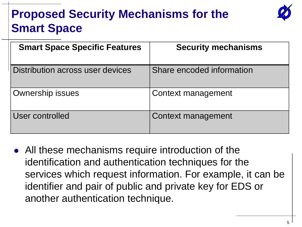# **Proposed Security Mechanisms for the Smart Space**



| <b>Smart Space Specific Features</b> | <b>Security mechanisms</b> |
|--------------------------------------|----------------------------|
| Distribution across user devices     | Share encoded information  |
| <b>Ownership issues</b>              | Context management         |
| User controlled                      | <b>Context management</b>  |

 All these mechanisms require introduction of the identification and authentication techniques for the services which request information. For example, it can be identifier and pair of public and private key for EDS or another authentication technique.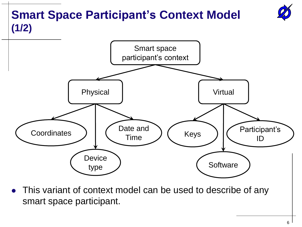

 This variant of context model can be used to describe of any smart space participant.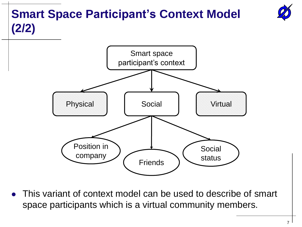# **Smart Space Participant's Context Model (2/2)**



 This variant of context model can be used to describe of smart space participants which is a virtual community members.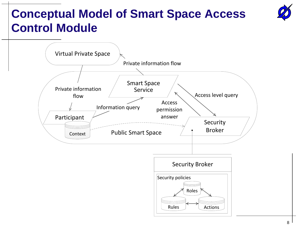# **Conceptual Model of Smart Space Access Control Module**

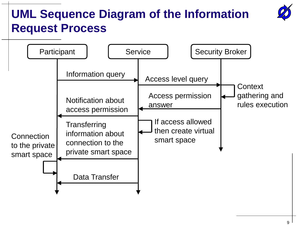# **UML Sequence Diagram of the Information Request Process**

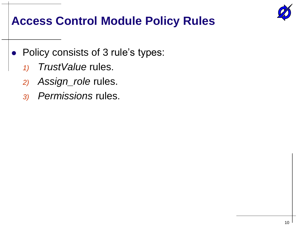

### **Access Control Module Policy Rules**

- Policy consists of 3 rule's types:
	- *1) TrustValue* rules.
	- *2) Assign\_role* rules.
	- *3) Permissions* rules.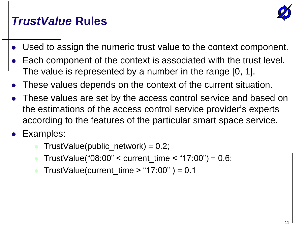

### *TrustValue* **Rules**

- Used to assign the numeric trust value to the context component.
- Each component of the context is associated with the trust level. The value is represented by a number in the range [0, 1].
- These values depends on the context of the current situation.
- These values are set by the access control service and based on the estimations of the access control service provider's experts according to the features of the particular smart space service.
- Examples:
	- $TrustValue(public network) = 0.2;$
	- TrustValue("08:00" < current\_time < "17:00") = 0.6;
	- TrustValue(current\_time  $>$  "17:00" ) = 0.1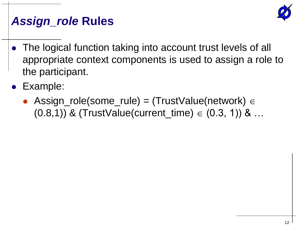

### *Assign\_role* **Rules**

- The logical function taking into account trust levels of all appropriate context components is used to assign a role to the participant.
- Example:
	- Assign\_role(some\_rule) = (TrustValue(network)  $\in$  $(0.8,1)$ ) & (TrustValue(current\_time)  $\in$   $(0.3, 1)$ ) & ...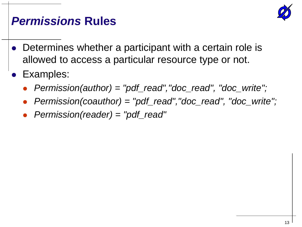

### *Permissions* **Rules**

- Determines whether a participant with a certain role is allowed to access a particular resource type or not.
- Examples:
	- *Permission(author) = "pdf\_read","doc\_read", "doc\_write";*
	- *Permission(coauthor) = "pdf\_read","doc\_read", "doc\_write";*
	- *Permission(reader) = "pdf\_read"*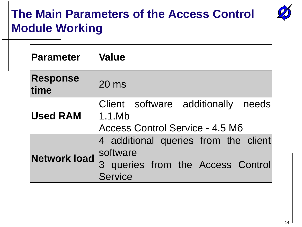### **The Main Parameters of the Access Control Module Working**

| <b>Parameter</b> Value  |                                                                                                  |
|-------------------------|--------------------------------------------------------------------------------------------------|
| <b>Response</b><br>time | $20 \text{ ms}$                                                                                  |
| <b>Used RAM</b>         | Client software additionally needs<br>1.1.Mb<br>Access Control Service - 4.5 M6                  |
| <b>Network load</b>     | 4 additional queries from the client<br>software<br>3 queries from the Access Control<br>Service |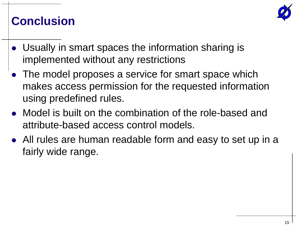

#### **Conclusion**

- Usually in smart spaces the information sharing is implemented without any restrictions
- The model proposes a service for smart space which makes access permission for the requested information using predefined rules.
- Model is built on the combination of the role-based and attribute-based access control models.
- All rules are human readable form and easy to set up in a fairly wide range.